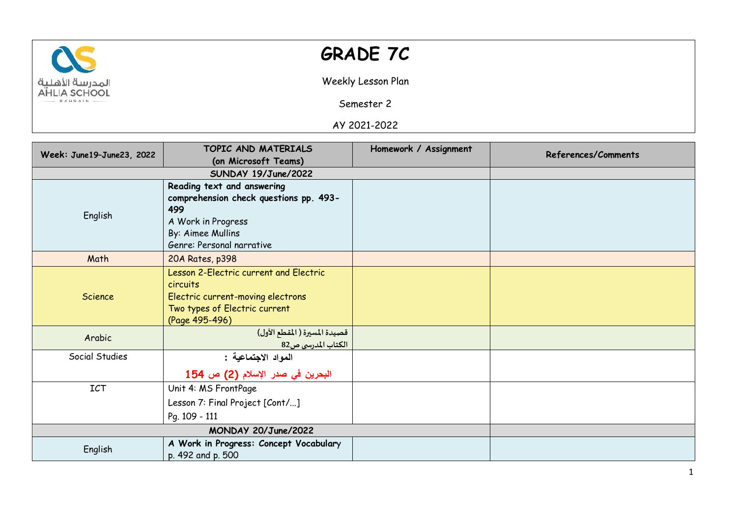

## **GRADE 7C**

Weekly Lesson Plan

Semester 2

AY 2021-2022

| Week: June19-June23, 2022 | TOPIC AND MATERIALS                    | Homework / Assignment | References/Comments |
|---------------------------|----------------------------------------|-----------------------|---------------------|
|                           | (on Microsoft Teams)                   |                       |                     |
|                           | SUNDAY 19/June/2022                    |                       |                     |
| English                   | Reading text and answering             |                       |                     |
|                           | comprehension check questions pp. 493- |                       |                     |
|                           | 499                                    |                       |                     |
|                           | A Work in Progress                     |                       |                     |
|                           | By: Aimee Mullins                      |                       |                     |
|                           | Genre: Personal narrative              |                       |                     |
| Math                      | 20A Rates, p398                        |                       |                     |
|                           | Lesson 2-Electric current and Electric |                       |                     |
|                           | circuits                               |                       |                     |
| Science                   | Electric current-moving electrons      |                       |                     |
|                           | Two types of Electric current          |                       |                     |
|                           | (Page 495-496)                         |                       |                     |
| Arabic                    | قصيدة المسيرة ( المقطع الأول)          |                       |                     |
|                           | الكتاب المدرسي ص82                     |                       |                     |
| Social Studies            | المواد الاجتماعية :                    |                       |                     |
|                           | البحرين في صدر الإسلام (2) ص 154       |                       |                     |
| ICT                       | Unit 4: MS FrontPage                   |                       |                     |
|                           | Lesson 7: Final Project [Cont/]        |                       |                     |
|                           | Pq. 109 - 111                          |                       |                     |
|                           |                                        |                       |                     |
| English                   | A Work in Progress: Concept Vocabulary |                       |                     |
|                           | p. 492 and p. 500                      |                       |                     |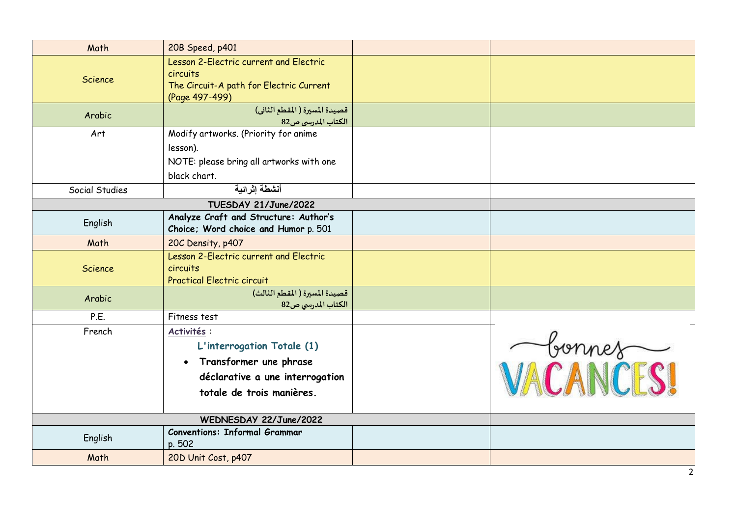| Math           | 20B Speed, p401                                                                                                                     |           |
|----------------|-------------------------------------------------------------------------------------------------------------------------------------|-----------|
| <b>Science</b> | Lesson 2-Electric current and Electric<br>circuits<br>The Circuit-A path for Electric Current<br>(Page 497-499)                     |           |
| Arabic         | قصيدة المسيرة ( المقطع الثاني)<br>الكتاب المدرسي ص82                                                                                |           |
| Art            | Modify artworks. (Priority for anime<br>lesson).<br>NOTE: please bring all artworks with one<br>black chart.                        |           |
| Social Studies | أنشطة إثر إئية                                                                                                                      |           |
|                | TUESDAY 21/June/2022                                                                                                                |           |
| English        | Analyze Craft and Structure: Author's<br>Choice; Word choice and Humor p. 501                                                       |           |
| Math           | 20C Density, p407                                                                                                                   |           |
| <b>Science</b> | Lesson 2-Electric current and Electric<br>circuits<br><b>Practical Electric circuit</b>                                             |           |
| Arabic         | قصيدة المسيرة (المقطع الثالث)<br>الكتاب المدرسي ص82                                                                                 |           |
| P.E.           | Fitness test                                                                                                                        |           |
| French         | Activités :<br>L'interrogation Totale (1)<br>Transformer une phrase<br>déclarative a une interrogation<br>totale de trois manières. | VACANCESI |
|                | WEDNESDAY 22/June/2022                                                                                                              |           |
| English        | <b>Conventions: Informal Grammar</b><br>p. 502                                                                                      |           |
| Math           | 20D Unit Cost, p407                                                                                                                 |           |